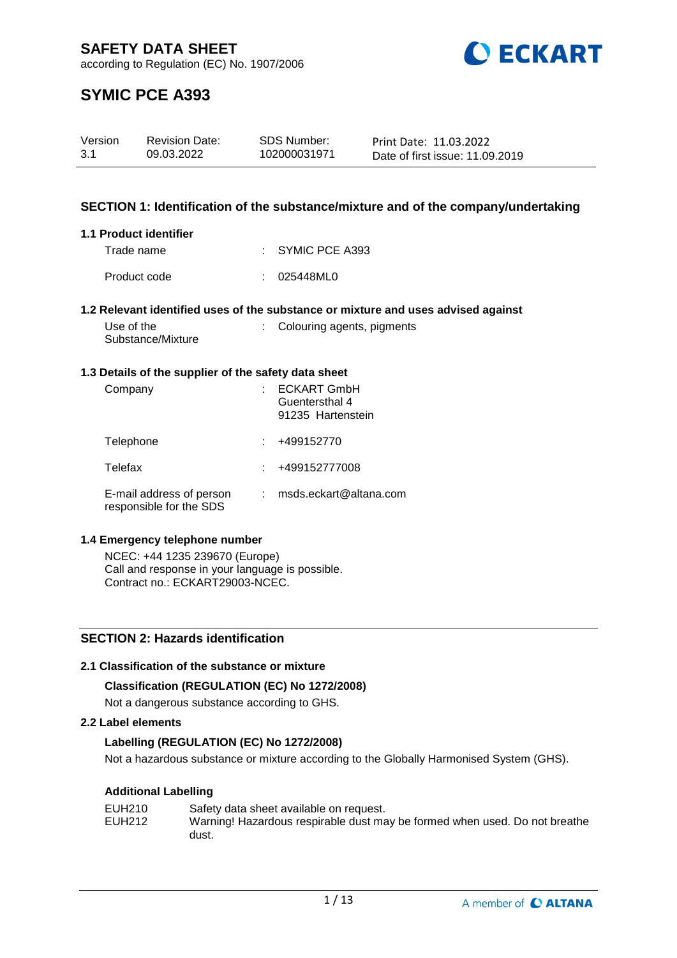

according to Regulation (EC) No. 1907/2006

# **SYMIC PCE A393**

| Version | <b>Revision Date:</b> | SDS Number:  | Print Date: 11.03.2022          |
|---------|-----------------------|--------------|---------------------------------|
| 3.1     | 09.03.2022            | 102000031971 | Date of first issue: 11.09.2019 |

# **SECTION 1: Identification of the substance/mixture and of the company/undertaking**

# **1.1 Product identifier**

| Trade name   | : SYMIC PCE A393 |
|--------------|------------------|
| Product code | : 025448ML0      |

# **1.2 Relevant identified uses of the substance or mixture and uses advised against**

| Use of the        | : Colouring agents, pigments |
|-------------------|------------------------------|
| Substance/Mixture |                              |

#### **1.3 Details of the supplier of the safety data sheet**

| Company                                             | <b>ECKART GmbH</b><br>Guentersthal 4<br>91235 Hartenstein |
|-----------------------------------------------------|-----------------------------------------------------------|
| Telephone                                           | +499152770                                                |
| Telefax                                             | +499152777008                                             |
| E-mail address of person<br>responsible for the SDS | msds.eckart@altana.com                                    |

# **1.4 Emergency telephone number**

NCEC: +44 1235 239670 (Europe) Call and response in your language is possible. Contract no.: ECKART29003-NCEC.

# **SECTION 2: Hazards identification**

# **2.1 Classification of the substance or mixture**

# **Classification (REGULATION (EC) No 1272/2008)**

Not a dangerous substance according to GHS.

# **2.2 Label elements**

# **Labelling (REGULATION (EC) No 1272/2008)**

Not a hazardous substance or mixture according to the Globally Harmonised System (GHS).

# **Additional Labelling**

| EUH210 | Safety data sheet available on request.                                    |
|--------|----------------------------------------------------------------------------|
| EUH212 | Warning! Hazardous respirable dust may be formed when used. Do not breathe |
|        | dust.                                                                      |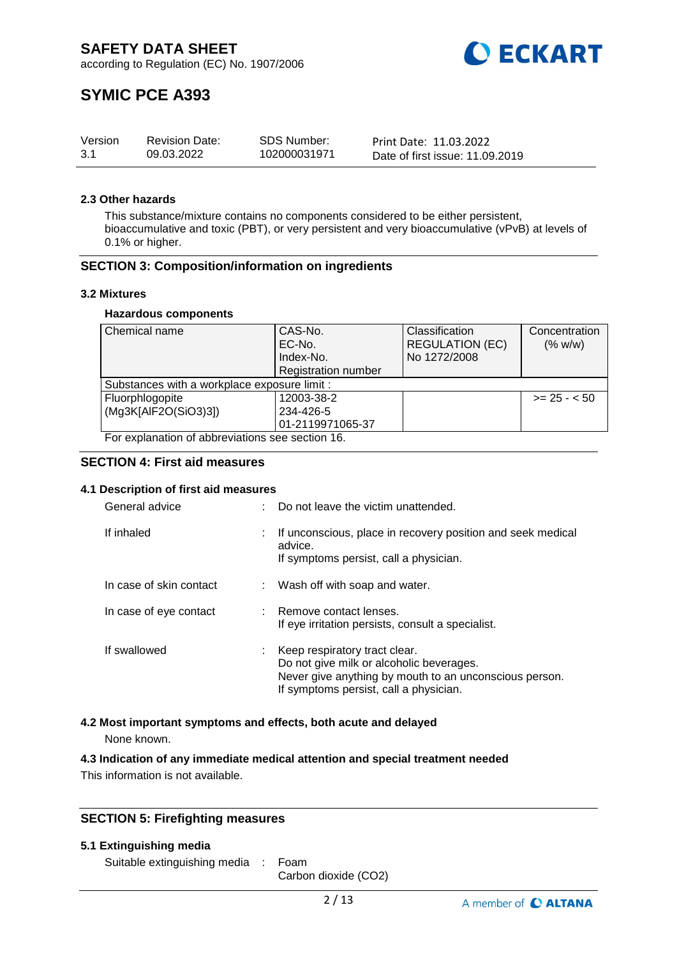

# **SYMIC PCE A393**

| Version | <b>Revision Date:</b> | <b>SDS Number:</b> | Print Date: 11.03.2022          |
|---------|-----------------------|--------------------|---------------------------------|
| -3.1    | 09.03.2022            | 102000031971       | Date of first issue: 11.09.2019 |

### **2.3 Other hazards**

This substance/mixture contains no components considered to be either persistent, bioaccumulative and toxic (PBT), or very persistent and very bioaccumulative (vPvB) at levels of 0.1% or higher.

# **SECTION 3: Composition/information on ingredients**

#### **3.2 Mixtures**

#### **Hazardous components**

| Chemical name                                    | CAS-No.                    | Classification         | Concentration |  |  |
|--------------------------------------------------|----------------------------|------------------------|---------------|--|--|
|                                                  | EC-No.                     | <b>REGULATION (EC)</b> | (% w/w)       |  |  |
|                                                  | Index-No.                  | No 1272/2008           |               |  |  |
|                                                  | <b>Registration number</b> |                        |               |  |  |
| Substances with a workplace exposure limit :     |                            |                        |               |  |  |
| Fluorphlogopite                                  | 12003-38-2                 |                        | $>= 25 - 50$  |  |  |
| (Mg3K[AlF2O(SiO3)3])                             | 234-426-5                  |                        |               |  |  |
|                                                  | 01-2119971065-37           |                        |               |  |  |
| For explanation of abbreviations see section 16. |                            |                        |               |  |  |

# **SECTION 4: First aid measures**

# **4.1 Description of first aid measures**

| General advice          | Do not leave the victim unattended.                                                                                                                                           |
|-------------------------|-------------------------------------------------------------------------------------------------------------------------------------------------------------------------------|
| If inhaled              | If unconscious, place in recovery position and seek medical<br>advice.<br>If symptoms persist, call a physician.                                                              |
| In case of skin contact | : Wash off with soap and water.                                                                                                                                               |
| In case of eye contact  | : Remove contact lenses.<br>If eye irritation persists, consult a specialist.                                                                                                 |
| If swallowed            | Keep respiratory tract clear.<br>Do not give milk or alcoholic beverages.<br>Never give anything by mouth to an unconscious person.<br>If symptoms persist, call a physician. |

# **4.2 Most important symptoms and effects, both acute and delayed**

None known.

# **4.3 Indication of any immediate medical attention and special treatment needed**

This information is not available.

# **SECTION 5: Firefighting measures**

#### **5.1 Extinguishing media**

Suitable extinguishing media : Foam

Carbon dioxide (CO2)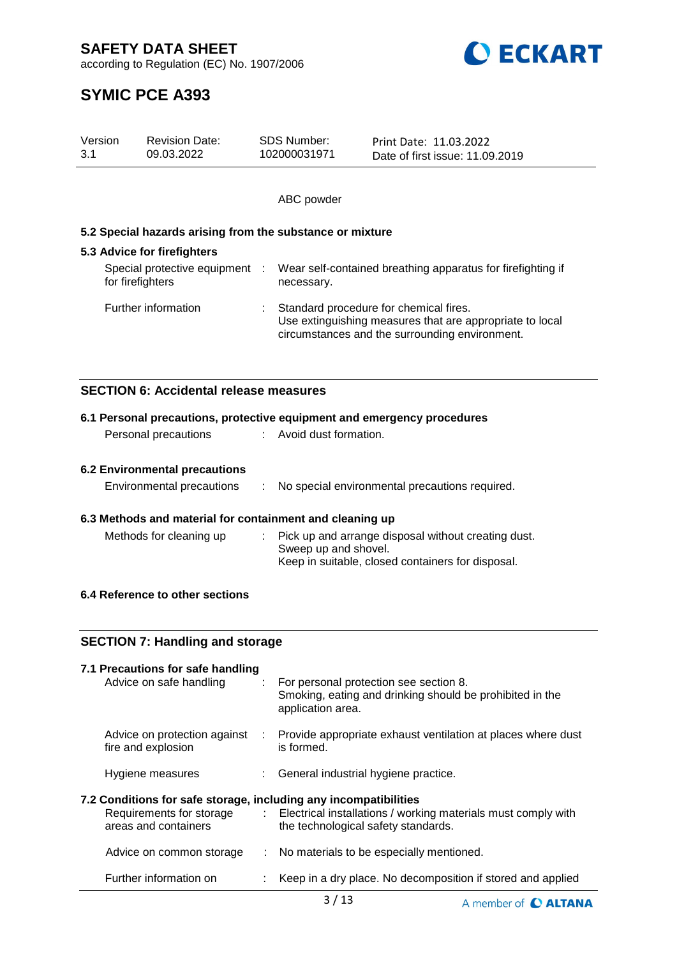

according to Regulation (EC) No. 1907/2006



# **SYMIC PCE A393**

| Version<br>3.1                                           | <b>Revision Date:</b><br>09.03.2022                       |            | <b>SDS Number:</b><br>102000031971                                                                                                                   | Print Date: 11.03.2022<br>Date of first issue: 11.09.2019               |  |  |  |
|----------------------------------------------------------|-----------------------------------------------------------|------------|------------------------------------------------------------------------------------------------------------------------------------------------------|-------------------------------------------------------------------------|--|--|--|
|                                                          |                                                           |            |                                                                                                                                                      |                                                                         |  |  |  |
|                                                          |                                                           |            | ABC powder                                                                                                                                           |                                                                         |  |  |  |
|                                                          | 5.2 Special hazards arising from the substance or mixture |            |                                                                                                                                                      |                                                                         |  |  |  |
|                                                          | 5.3 Advice for firefighters                               |            |                                                                                                                                                      |                                                                         |  |  |  |
| Special protective equipment :<br>for firefighters       |                                                           | necessary. | Wear self-contained breathing apparatus for firefighting if                                                                                          |                                                                         |  |  |  |
|                                                          | Further information                                       |            | Standard procedure for chemical fires.<br>Use extinguishing measures that are appropriate to local<br>circumstances and the surrounding environment. |                                                                         |  |  |  |
|                                                          | <b>SECTION 6: Accidental release measures</b>             |            |                                                                                                                                                      |                                                                         |  |  |  |
|                                                          |                                                           |            |                                                                                                                                                      | 6.1 Personal precautions, protective equipment and emergency procedures |  |  |  |
|                                                          | Personal precautions                                      |            | Avoid dust formation.                                                                                                                                |                                                                         |  |  |  |
| <b>6.2 Environmental precautions</b>                     |                                                           |            |                                                                                                                                                      |                                                                         |  |  |  |
|                                                          | Environmental precautions                                 | ÷          |                                                                                                                                                      | No special environmental precautions required.                          |  |  |  |
| 6.3 Methods and material for containment and cleaning up |                                                           |            |                                                                                                                                                      |                                                                         |  |  |  |

# **6.3 Methods and material for containment and cleaning up**

| Methods for cleaning up | : Pick up and arrange disposal without creating dust. |
|-------------------------|-------------------------------------------------------|
|                         | Sweep up and shovel.                                  |
|                         | Keep in suitable, closed containers for disposal.     |

# **6.4 Reference to other sections**

| <b>SECTION 7: Handling and storage</b>                                                                               |     |                                                                                                                         |  |  |
|----------------------------------------------------------------------------------------------------------------------|-----|-------------------------------------------------------------------------------------------------------------------------|--|--|
| 7.1 Precautions for safe handling<br>Advice on safe handling                                                         | ÷.  | For personal protection see section 8.<br>Smoking, eating and drinking should be prohibited in the<br>application area. |  |  |
| Advice on protection against<br>fire and explosion                                                                   | -17 | Provide appropriate exhaust ventilation at places where dust<br>is formed.                                              |  |  |
| Hygiene measures                                                                                                     |     | : General industrial hygiene practice.                                                                                  |  |  |
| 7.2 Conditions for safe storage, including any incompatibilities<br>Requirements for storage<br>areas and containers |     | : Electrical installations / working materials must comply with<br>the technological safety standards.                  |  |  |
| Advice on common storage                                                                                             |     | : No materials to be especially mentioned.                                                                              |  |  |
| Further information on                                                                                               |     | Keep in a dry place. No decomposition if stored and applied                                                             |  |  |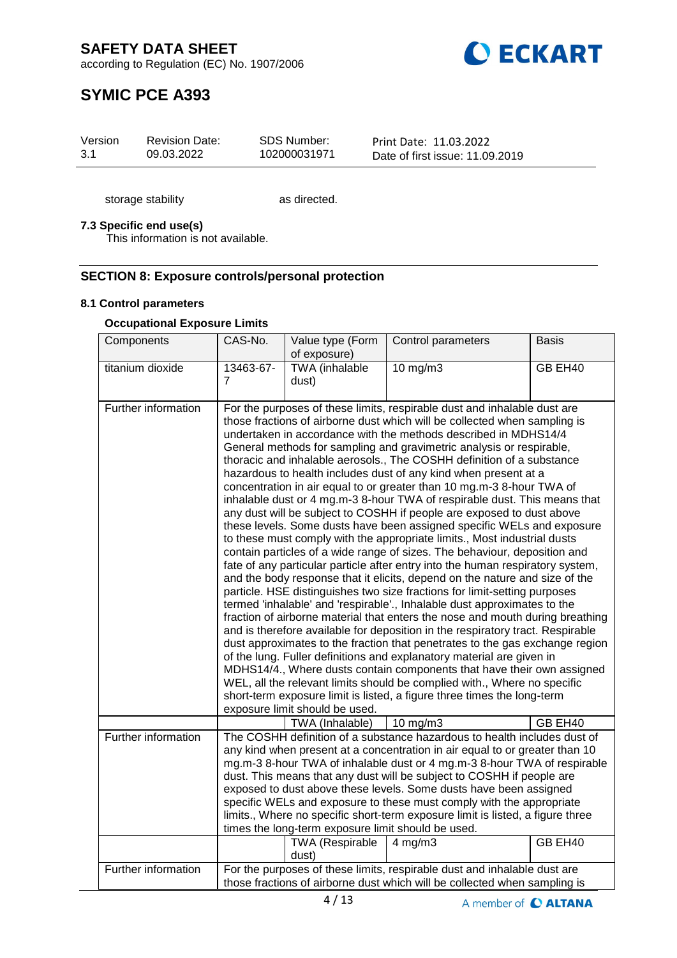**O ECKART** 

according to Regulation (EC) No. 1907/2006

# **SYMIC PCE A393**

| Version | <b>Revision Date:</b> | SDS Number:  | Print Date: 11.03.2022          |
|---------|-----------------------|--------------|---------------------------------|
| 3.1     | 09.03.2022            | 102000031971 | Date of first issue: 11.09.2019 |

storage stability as directed.

# **7.3 Specific end use(s)**

This information is not available.

# **SECTION 8: Exposure controls/personal protection**

# **8.1 Control parameters**

# **Occupational Exposure Limits**

| Components          | CAS-No.                                                                                                                                                                                                                                                                                                                                                                                                                                                                                                                                                                                                                                                | Value type (Form<br>of exposure)                                                                                                                                                                                                                                                                                                                                                                                                                                                                                                                                                                                                                                                                                                                                                                                                                                                                                                                                                                                                                                                                                                                                                                                                                                                                                                                                                                                                                                                                                                                                                                                                                                                                                                                                                                      | Control parameters | <b>Basis</b> |  |
|---------------------|--------------------------------------------------------------------------------------------------------------------------------------------------------------------------------------------------------------------------------------------------------------------------------------------------------------------------------------------------------------------------------------------------------------------------------------------------------------------------------------------------------------------------------------------------------------------------------------------------------------------------------------------------------|-------------------------------------------------------------------------------------------------------------------------------------------------------------------------------------------------------------------------------------------------------------------------------------------------------------------------------------------------------------------------------------------------------------------------------------------------------------------------------------------------------------------------------------------------------------------------------------------------------------------------------------------------------------------------------------------------------------------------------------------------------------------------------------------------------------------------------------------------------------------------------------------------------------------------------------------------------------------------------------------------------------------------------------------------------------------------------------------------------------------------------------------------------------------------------------------------------------------------------------------------------------------------------------------------------------------------------------------------------------------------------------------------------------------------------------------------------------------------------------------------------------------------------------------------------------------------------------------------------------------------------------------------------------------------------------------------------------------------------------------------------------------------------------------------------|--------------------|--------------|--|
| titanium dioxide    | 13463-67-<br>$\overline{7}$                                                                                                                                                                                                                                                                                                                                                                                                                                                                                                                                                                                                                            | TWA (inhalable<br>dust)                                                                                                                                                                                                                                                                                                                                                                                                                                                                                                                                                                                                                                                                                                                                                                                                                                                                                                                                                                                                                                                                                                                                                                                                                                                                                                                                                                                                                                                                                                                                                                                                                                                                                                                                                                               | 10 mg/m3           | GB EH40      |  |
| Further information | exposure limit should be used.                                                                                                                                                                                                                                                                                                                                                                                                                                                                                                                                                                                                                         | For the purposes of these limits, respirable dust and inhalable dust are<br>those fractions of airborne dust which will be collected when sampling is<br>undertaken in accordance with the methods described in MDHS14/4<br>General methods for sampling and gravimetric analysis or respirable,<br>thoracic and inhalable aerosols., The COSHH definition of a substance<br>hazardous to health includes dust of any kind when present at a<br>concentration in air equal to or greater than 10 mg.m-3 8-hour TWA of<br>inhalable dust or 4 mg.m-3 8-hour TWA of respirable dust. This means that<br>any dust will be subject to COSHH if people are exposed to dust above<br>these levels. Some dusts have been assigned specific WELs and exposure<br>to these must comply with the appropriate limits., Most industrial dusts<br>contain particles of a wide range of sizes. The behaviour, deposition and<br>fate of any particular particle after entry into the human respiratory system,<br>and the body response that it elicits, depend on the nature and size of the<br>particle. HSE distinguishes two size fractions for limit-setting purposes<br>termed 'inhalable' and 'respirable'., Inhalable dust approximates to the<br>fraction of airborne material that enters the nose and mouth during breathing<br>and is therefore available for deposition in the respiratory tract. Respirable<br>dust approximates to the fraction that penetrates to the gas exchange region<br>of the lung. Fuller definitions and explanatory material are given in<br>MDHS14/4., Where dusts contain components that have their own assigned<br>WEL, all the relevant limits should be complied with., Where no specific<br>short-term exposure limit is listed, a figure three times the long-term |                    |              |  |
| Further information |                                                                                                                                                                                                                                                                                                                                                                                                                                                                                                                                                                                                                                                        | TWA (Inhalable)                                                                                                                                                                                                                                                                                                                                                                                                                                                                                                                                                                                                                                                                                                                                                                                                                                                                                                                                                                                                                                                                                                                                                                                                                                                                                                                                                                                                                                                                                                                                                                                                                                                                                                                                                                                       | 10 mg/m $3$        | GB EH40      |  |
|                     | The COSHH definition of a substance hazardous to health includes dust of<br>any kind when present at a concentration in air equal to or greater than 10<br>mg.m-3 8-hour TWA of inhalable dust or 4 mg.m-3 8-hour TWA of respirable<br>dust. This means that any dust will be subject to COSHH if people are<br>exposed to dust above these levels. Some dusts have been assigned<br>specific WELs and exposure to these must comply with the appropriate<br>limits., Where no specific short-term exposure limit is listed, a figure three<br>times the long-term exposure limit should be used.<br>GB EH40<br><b>TWA</b> (Respirable<br>$4$ mg/m $3$ |                                                                                                                                                                                                                                                                                                                                                                                                                                                                                                                                                                                                                                                                                                                                                                                                                                                                                                                                                                                                                                                                                                                                                                                                                                                                                                                                                                                                                                                                                                                                                                                                                                                                                                                                                                                                       |                    |              |  |
| Further information |                                                                                                                                                                                                                                                                                                                                                                                                                                                                                                                                                                                                                                                        | dust)                                                                                                                                                                                                                                                                                                                                                                                                                                                                                                                                                                                                                                                                                                                                                                                                                                                                                                                                                                                                                                                                                                                                                                                                                                                                                                                                                                                                                                                                                                                                                                                                                                                                                                                                                                                                 |                    |              |  |
|                     | For the purposes of these limits, respirable dust and inhalable dust are<br>those fractions of airborne dust which will be collected when sampling is                                                                                                                                                                                                                                                                                                                                                                                                                                                                                                  |                                                                                                                                                                                                                                                                                                                                                                                                                                                                                                                                                                                                                                                                                                                                                                                                                                                                                                                                                                                                                                                                                                                                                                                                                                                                                                                                                                                                                                                                                                                                                                                                                                                                                                                                                                                                       |                    |              |  |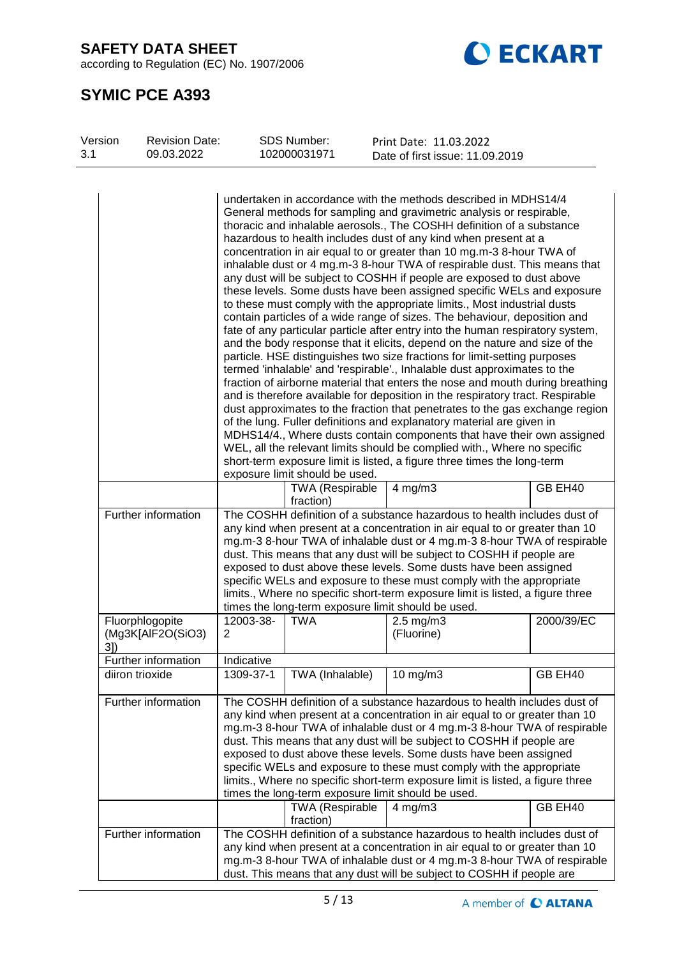according to Regulation (EC) No. 1907/2006



# **SYMIC PCE A393**

| Version<br>3.1 | <b>Revision Date:</b><br>09.03.2022  |                                                                                                                                                                                                                                                                                                                                                                                                                                                                                                                                                                                                                                                                                                                                                                                                                                                                                                                                                                                                                                                                                                                                                                                                                                                                                                                                                                                                                                                                                                                                                                                                                                                                                | SDS Number:<br>102000031971                        | Print Date: 11.03.2022<br>Date of first issue: 11.09.2019                                                                                                                                                                                                                                                                                                                                                                                                                                                                                   |            |
|----------------|--------------------------------------|--------------------------------------------------------------------------------------------------------------------------------------------------------------------------------------------------------------------------------------------------------------------------------------------------------------------------------------------------------------------------------------------------------------------------------------------------------------------------------------------------------------------------------------------------------------------------------------------------------------------------------------------------------------------------------------------------------------------------------------------------------------------------------------------------------------------------------------------------------------------------------------------------------------------------------------------------------------------------------------------------------------------------------------------------------------------------------------------------------------------------------------------------------------------------------------------------------------------------------------------------------------------------------------------------------------------------------------------------------------------------------------------------------------------------------------------------------------------------------------------------------------------------------------------------------------------------------------------------------------------------------------------------------------------------------|----------------------------------------------------|---------------------------------------------------------------------------------------------------------------------------------------------------------------------------------------------------------------------------------------------------------------------------------------------------------------------------------------------------------------------------------------------------------------------------------------------------------------------------------------------------------------------------------------------|------------|
|                |                                      |                                                                                                                                                                                                                                                                                                                                                                                                                                                                                                                                                                                                                                                                                                                                                                                                                                                                                                                                                                                                                                                                                                                                                                                                                                                                                                                                                                                                                                                                                                                                                                                                                                                                                |                                                    |                                                                                                                                                                                                                                                                                                                                                                                                                                                                                                                                             |            |
|                |                                      | undertaken in accordance with the methods described in MDHS14/4<br>General methods for sampling and gravimetric analysis or respirable,<br>thoracic and inhalable aerosols., The COSHH definition of a substance<br>hazardous to health includes dust of any kind when present at a<br>concentration in air equal to or greater than 10 mg.m-3 8-hour TWA of<br>inhalable dust or 4 mg.m-3 8-hour TWA of respirable dust. This means that<br>any dust will be subject to COSHH if people are exposed to dust above<br>these levels. Some dusts have been assigned specific WELs and exposure<br>to these must comply with the appropriate limits., Most industrial dusts<br>contain particles of a wide range of sizes. The behaviour, deposition and<br>fate of any particular particle after entry into the human respiratory system,<br>and the body response that it elicits, depend on the nature and size of the<br>particle. HSE distinguishes two size fractions for limit-setting purposes<br>termed 'inhalable' and 'respirable'., Inhalable dust approximates to the<br>fraction of airborne material that enters the nose and mouth during breathing<br>and is therefore available for deposition in the respiratory tract. Respirable<br>dust approximates to the fraction that penetrates to the gas exchange region<br>of the lung. Fuller definitions and explanatory material are given in<br>MDHS14/4., Where dusts contain components that have their own assigned<br>WEL, all the relevant limits should be complied with., Where no specific<br>short-term exposure limit is listed, a figure three times the long-term<br>exposure limit should be used. |                                                    |                                                                                                                                                                                                                                                                                                                                                                                                                                                                                                                                             |            |
|                |                                      |                                                                                                                                                                                                                                                                                                                                                                                                                                                                                                                                                                                                                                                                                                                                                                                                                                                                                                                                                                                                                                                                                                                                                                                                                                                                                                                                                                                                                                                                                                                                                                                                                                                                                | TWA (Respirable                                    | $4$ mg/m $3$                                                                                                                                                                                                                                                                                                                                                                                                                                                                                                                                | GB EH40    |
|                | Further information                  | fraction)<br>The COSHH definition of a substance hazardous to health includes dust of<br>any kind when present at a concentration in air equal to or greater than 10<br>mg.m-3 8-hour TWA of inhalable dust or 4 mg.m-3 8-hour TWA of respirable<br>dust. This means that any dust will be subject to COSHH if people are<br>exposed to dust above these levels. Some dusts have been assigned<br>specific WELs and exposure to these must comply with the appropriate<br>limits., Where no specific short-term exposure limit is listed, a figure three<br>times the long-term exposure limit should be used.                                                                                                                                                                                                                                                                                                                                                                                                                                                                                                                                                                                                                                                                                                                                                                                                                                                                                                                                                                                                                                                                 |                                                    |                                                                                                                                                                                                                                                                                                                                                                                                                                                                                                                                             |            |
| 3])            | Fluorphlogopite<br>(Mg3K[AlF2O(SiO3) | 12003-38-<br>$\overline{2}$                                                                                                                                                                                                                                                                                                                                                                                                                                                                                                                                                                                                                                                                                                                                                                                                                                                                                                                                                                                                                                                                                                                                                                                                                                                                                                                                                                                                                                                                                                                                                                                                                                                    | <b>TWA</b>                                         | $2.5$ mg/m $3$<br>(Fluorine)                                                                                                                                                                                                                                                                                                                                                                                                                                                                                                                | 2000/39/EC |
|                | Further information                  | Indicative                                                                                                                                                                                                                                                                                                                                                                                                                                                                                                                                                                                                                                                                                                                                                                                                                                                                                                                                                                                                                                                                                                                                                                                                                                                                                                                                                                                                                                                                                                                                                                                                                                                                     |                                                    |                                                                                                                                                                                                                                                                                                                                                                                                                                                                                                                                             |            |
|                | diiron trioxide                      | 1309-37-1                                                                                                                                                                                                                                                                                                                                                                                                                                                                                                                                                                                                                                                                                                                                                                                                                                                                                                                                                                                                                                                                                                                                                                                                                                                                                                                                                                                                                                                                                                                                                                                                                                                                      | TWA (Inhalable)                                    | $10$ mg/m $3$                                                                                                                                                                                                                                                                                                                                                                                                                                                                                                                               | GB EH40    |
|                | Further information                  |                                                                                                                                                                                                                                                                                                                                                                                                                                                                                                                                                                                                                                                                                                                                                                                                                                                                                                                                                                                                                                                                                                                                                                                                                                                                                                                                                                                                                                                                                                                                                                                                                                                                                | times the long-term exposure limit should be used. | The COSHH definition of a substance hazardous to health includes dust of<br>any kind when present at a concentration in air equal to or greater than 10<br>mg.m-3 8-hour TWA of inhalable dust or 4 mg.m-3 8-hour TWA of respirable<br>dust. This means that any dust will be subject to COSHH if people are<br>exposed to dust above these levels. Some dusts have been assigned<br>specific WELs and exposure to these must comply with the appropriate<br>limits., Where no specific short-term exposure limit is listed, a figure three |            |
|                |                                      |                                                                                                                                                                                                                                                                                                                                                                                                                                                                                                                                                                                                                                                                                                                                                                                                                                                                                                                                                                                                                                                                                                                                                                                                                                                                                                                                                                                                                                                                                                                                                                                                                                                                                | TWA (Respirable<br>fraction)                       | $4$ mg/m $3$                                                                                                                                                                                                                                                                                                                                                                                                                                                                                                                                | GB EH40    |
|                | Further information                  | The COSHH definition of a substance hazardous to health includes dust of<br>any kind when present at a concentration in air equal to or greater than 10<br>mg.m-3 8-hour TWA of inhalable dust or 4 mg.m-3 8-hour TWA of respirable<br>dust. This means that any dust will be subject to COSHH if people are                                                                                                                                                                                                                                                                                                                                                                                                                                                                                                                                                                                                                                                                                                                                                                                                                                                                                                                                                                                                                                                                                                                                                                                                                                                                                                                                                                   |                                                    |                                                                                                                                                                                                                                                                                                                                                                                                                                                                                                                                             |            |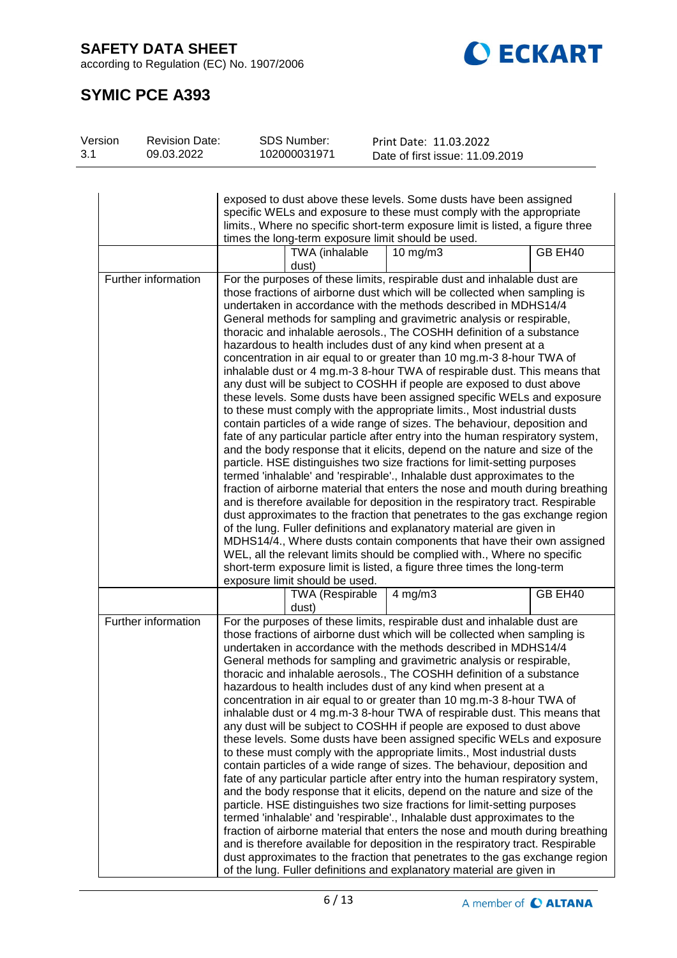according to Regulation (EC) No. 1907/2006



# **SYMIC PCE A393**

| Version | <b>Revision Date:</b>                                                     | SDS Number:                                                                                                                                              |                        | Print Date: 11.03.2022                                                         |         |  |  |
|---------|---------------------------------------------------------------------------|----------------------------------------------------------------------------------------------------------------------------------------------------------|------------------------|--------------------------------------------------------------------------------|---------|--|--|
| 3.1     | 09.03.2022                                                                | 102000031971                                                                                                                                             |                        | Date of first issue: 11.09.2019                                                |         |  |  |
|         |                                                                           |                                                                                                                                                          |                        |                                                                                |         |  |  |
|         |                                                                           |                                                                                                                                                          |                        |                                                                                |         |  |  |
|         |                                                                           |                                                                                                                                                          |                        | exposed to dust above these levels. Some dusts have been assigned              |         |  |  |
|         |                                                                           |                                                                                                                                                          |                        | specific WELs and exposure to these must comply with the appropriate           |         |  |  |
|         |                                                                           |                                                                                                                                                          |                        |                                                                                |         |  |  |
|         |                                                                           |                                                                                                                                                          |                        | limits., Where no specific short-term exposure limit is listed, a figure three |         |  |  |
|         |                                                                           |                                                                                                                                                          |                        | times the long-term exposure limit should be used.                             |         |  |  |
|         |                                                                           |                                                                                                                                                          | TWA (inhalable         | 10 mg/m $3$                                                                    | GB EH40 |  |  |
|         |                                                                           | dust)                                                                                                                                                    |                        |                                                                                |         |  |  |
|         | Further information                                                       |                                                                                                                                                          |                        | For the purposes of these limits, respirable dust and inhalable dust are       |         |  |  |
|         |                                                                           |                                                                                                                                                          |                        | those fractions of airborne dust which will be collected when sampling is      |         |  |  |
|         |                                                                           |                                                                                                                                                          |                        | undertaken in accordance with the methods described in MDHS14/4                |         |  |  |
|         |                                                                           |                                                                                                                                                          |                        | General methods for sampling and gravimetric analysis or respirable,           |         |  |  |
|         |                                                                           |                                                                                                                                                          |                        | thoracic and inhalable aerosols., The COSHH definition of a substance          |         |  |  |
|         |                                                                           |                                                                                                                                                          |                        | hazardous to health includes dust of any kind when present at a                |         |  |  |
|         |                                                                           |                                                                                                                                                          |                        | concentration in air equal to or greater than 10 mg.m-3 8-hour TWA of          |         |  |  |
|         |                                                                           |                                                                                                                                                          |                        | inhalable dust or 4 mg.m-3 8-hour TWA of respirable dust. This means that      |         |  |  |
|         |                                                                           |                                                                                                                                                          |                        | any dust will be subject to COSHH if people are exposed to dust above          |         |  |  |
|         |                                                                           |                                                                                                                                                          |                        | these levels. Some dusts have been assigned specific WELs and exposure         |         |  |  |
|         |                                                                           |                                                                                                                                                          |                        | to these must comply with the appropriate limits., Most industrial dusts       |         |  |  |
|         |                                                                           |                                                                                                                                                          |                        | contain particles of a wide range of sizes. The behaviour, deposition and      |         |  |  |
|         |                                                                           |                                                                                                                                                          |                        | fate of any particular particle after entry into the human respiratory system, |         |  |  |
|         |                                                                           |                                                                                                                                                          |                        |                                                                                |         |  |  |
|         |                                                                           | and the body response that it elicits, depend on the nature and size of the<br>particle. HSE distinguishes two size fractions for limit-setting purposes |                        |                                                                                |         |  |  |
|         |                                                                           | termed 'inhalable' and 'respirable'., Inhalable dust approximates to the                                                                                 |                        |                                                                                |         |  |  |
|         |                                                                           | fraction of airborne material that enters the nose and mouth during breathing                                                                            |                        |                                                                                |         |  |  |
|         |                                                                           |                                                                                                                                                          |                        | and is therefore available for deposition in the respiratory tract. Respirable |         |  |  |
|         |                                                                           |                                                                                                                                                          |                        | dust approximates to the fraction that penetrates to the gas exchange region   |         |  |  |
|         |                                                                           |                                                                                                                                                          |                        |                                                                                |         |  |  |
|         |                                                                           | of the lung. Fuller definitions and explanatory material are given in<br>MDHS14/4., Where dusts contain components that have their own assigned          |                        |                                                                                |         |  |  |
|         |                                                                           |                                                                                                                                                          |                        |                                                                                |         |  |  |
|         |                                                                           | WEL, all the relevant limits should be complied with., Where no specific                                                                                 |                        |                                                                                |         |  |  |
|         |                                                                           | short-term exposure limit is listed, a figure three times the long-term                                                                                  |                        |                                                                                |         |  |  |
|         |                                                                           | exposure limit should be used.                                                                                                                           |                        |                                                                                |         |  |  |
|         |                                                                           |                                                                                                                                                          | <b>TWA (Respirable</b> | $4$ mg/m $3$                                                                   | GB EH40 |  |  |
|         |                                                                           | dust)                                                                                                                                                    |                        |                                                                                |         |  |  |
|         | Further information                                                       |                                                                                                                                                          |                        | For the purposes of these limits, respirable dust and inhalable dust are       |         |  |  |
|         |                                                                           |                                                                                                                                                          |                        | those fractions of airborne dust which will be collected when sampling is      |         |  |  |
|         |                                                                           |                                                                                                                                                          |                        | undertaken in accordance with the methods described in MDHS14/4                |         |  |  |
|         |                                                                           |                                                                                                                                                          |                        | General methods for sampling and gravimetric analysis or respirable,           |         |  |  |
|         |                                                                           |                                                                                                                                                          |                        | thoracic and inhalable aerosols., The COSHH definition of a substance          |         |  |  |
|         |                                                                           |                                                                                                                                                          |                        | hazardous to health includes dust of any kind when present at a                |         |  |  |
|         |                                                                           |                                                                                                                                                          |                        | concentration in air equal to or greater than 10 mg.m-3 8-hour TWA of          |         |  |  |
|         |                                                                           |                                                                                                                                                          |                        | inhalable dust or 4 mg.m-3 8-hour TWA of respirable dust. This means that      |         |  |  |
|         |                                                                           |                                                                                                                                                          |                        | any dust will be subject to COSHH if people are exposed to dust above          |         |  |  |
|         | these levels. Some dusts have been assigned specific WELs and exposure    |                                                                                                                                                          |                        |                                                                                |         |  |  |
|         | to these must comply with the appropriate limits., Most industrial dusts  |                                                                                                                                                          |                        |                                                                                |         |  |  |
|         | contain particles of a wide range of sizes. The behaviour, deposition and |                                                                                                                                                          |                        |                                                                                |         |  |  |
|         |                                                                           |                                                                                                                                                          |                        | fate of any particular particle after entry into the human respiratory system, |         |  |  |
|         |                                                                           |                                                                                                                                                          |                        | and the body response that it elicits, depend on the nature and size of the    |         |  |  |
|         |                                                                           |                                                                                                                                                          |                        | particle. HSE distinguishes two size fractions for limit-setting purposes      |         |  |  |
|         |                                                                           |                                                                                                                                                          |                        | termed 'inhalable' and 'respirable'., Inhalable dust approximates to the       |         |  |  |
|         |                                                                           |                                                                                                                                                          |                        | fraction of airborne material that enters the nose and mouth during breathing  |         |  |  |
|         |                                                                           |                                                                                                                                                          |                        | and is therefore available for deposition in the respiratory tract. Respirable |         |  |  |
|         |                                                                           |                                                                                                                                                          |                        | dust approximates to the fraction that penetrates to the gas exchange region   |         |  |  |
|         |                                                                           |                                                                                                                                                          |                        | of the lung. Fuller definitions and explanatory material are given in          |         |  |  |
|         |                                                                           |                                                                                                                                                          |                        |                                                                                |         |  |  |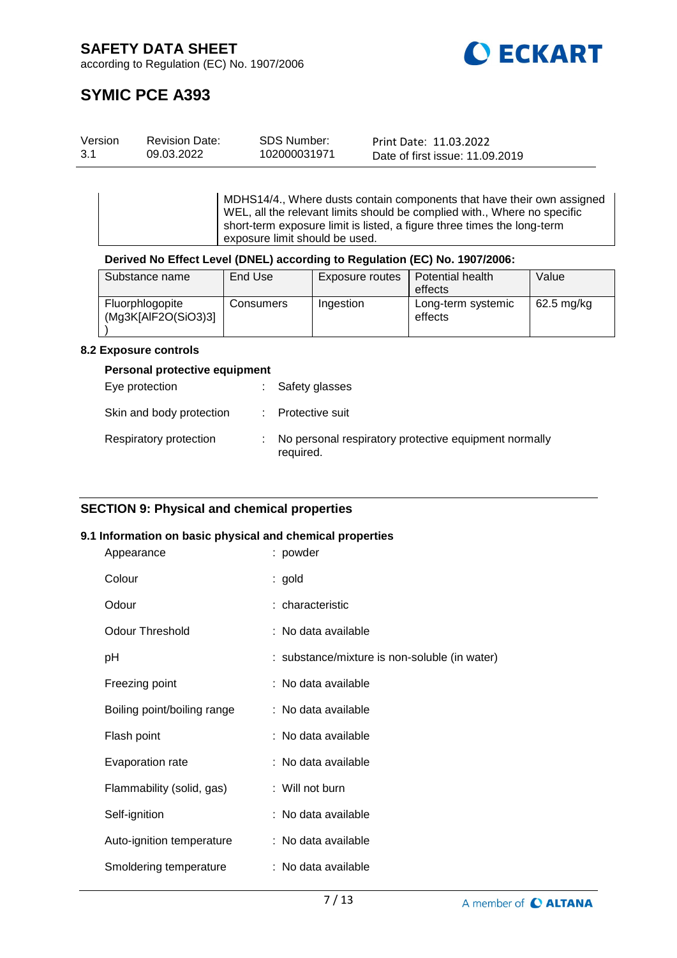

# **SYMIC PCE A393**

| Version | <b>Revision Date:</b> | SDS Number:  | Print Date: 11.03.2022          |
|---------|-----------------------|--------------|---------------------------------|
| 3.1     | 09.03.2022            | 102000031971 | Date of first issue: 11.09.2019 |

MDHS14/4., Where dusts contain components that have their own assigned WEL, all the relevant limits should be complied with., Where no specific short-term exposure limit is listed, a figure three times the long-term exposure limit should be used.

# **Derived No Effect Level (DNEL) according to Regulation (EC) No. 1907/2006:**

| Substance name                         | End Use   | Exposure routes | Potential health              | Value      |
|----------------------------------------|-----------|-----------------|-------------------------------|------------|
|                                        |           |                 | effects                       |            |
| Fluorphlogopite<br>(Mq3K[AlF2O(SiO3)3] | Consumers | Ingestion       | Long-term systemic<br>effects | 62.5 mg/kg |

#### **8.2 Exposure controls**

#### **Personal protective equipment**

| Eye protection           | : Safety glasses                                                   |
|--------------------------|--------------------------------------------------------------------|
| Skin and body protection | : Protective suit                                                  |
| Respiratory protection   | No personal respiratory protective equipment normally<br>required. |

# **SECTION 9: Physical and chemical properties**

#### **9.1 Information on basic physical and chemical properties**

| Appearance                  | : powder                                      |
|-----------------------------|-----------------------------------------------|
| Colour                      | : gold                                        |
| Odour                       | : characteristic                              |
| <b>Odour Threshold</b>      | : No data available                           |
| рH                          | : substance/mixture is non-soluble (in water) |
| Freezing point              | : No data available                           |
| Boiling point/boiling range | : No data available                           |
| Flash point                 | : No data available                           |
| Evaporation rate            | : No data available                           |
| Flammability (solid, gas)   | : Will not burn                               |
| Self-ignition               | : No data available                           |
| Auto-ignition temperature   | : No data available                           |
| Smoldering temperature      | : No data available                           |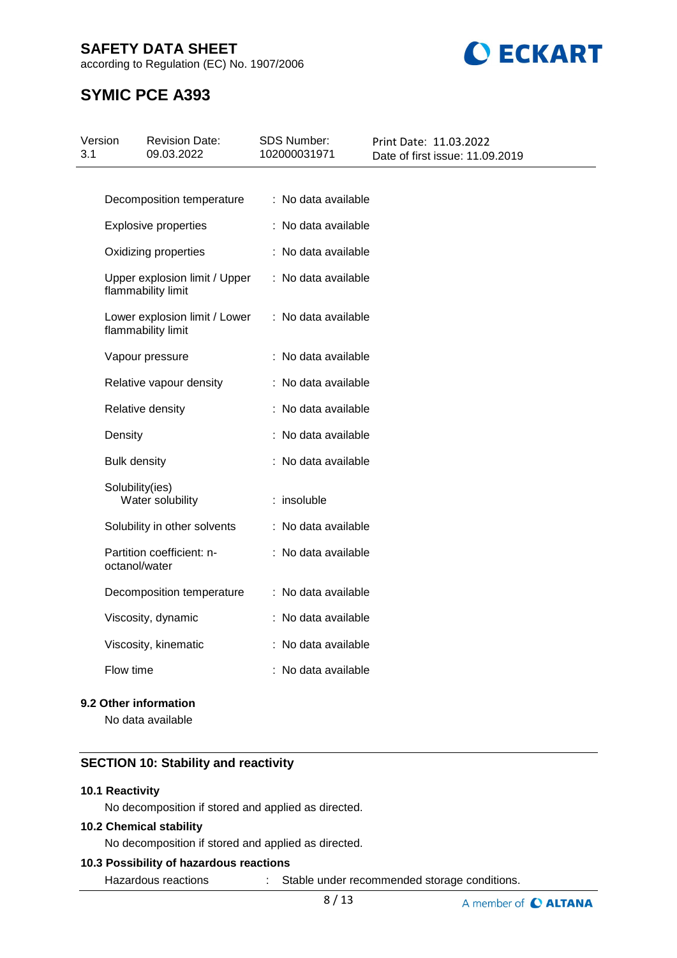according to Regulation (EC) No. 1907/2006



# **SYMIC PCE A393**

| Version<br>3.1 | <b>Revision Date:</b><br>09.03.2022                 | <b>SDS Number:</b><br>102000031971 | Print Date: 11.03.2022<br>Date of first issue: 11.09.2019 |
|----------------|-----------------------------------------------------|------------------------------------|-----------------------------------------------------------|
|                |                                                     |                                    |                                                           |
|                | Decomposition temperature                           | : No data available                |                                                           |
|                | <b>Explosive properties</b>                         | : No data available                |                                                           |
|                | Oxidizing properties                                | : No data available                |                                                           |
|                | Upper explosion limit / Upper<br>flammability limit | : No data available                |                                                           |
|                | Lower explosion limit / Lower<br>flammability limit | : No data available                |                                                           |
|                | Vapour pressure                                     | : No data available                |                                                           |
|                | Relative vapour density                             | : No data available                |                                                           |
|                | Relative density                                    | : No data available                |                                                           |
|                | Density                                             | : No data available                |                                                           |
|                | <b>Bulk density</b>                                 | : No data available                |                                                           |
|                | Solubility(ies)<br>Water solubility                 | : insoluble                        |                                                           |
|                | Solubility in other solvents                        | : No data available                |                                                           |
|                | Partition coefficient: n-<br>octanol/water          | : No data available                |                                                           |
|                | Decomposition temperature                           | : No data available                |                                                           |
|                | Viscosity, dynamic                                  | : No data available                |                                                           |
|                | Viscosity, kinematic                                | : No data available                |                                                           |
|                | Flow time                                           | : No data available                |                                                           |
|                |                                                     |                                    |                                                           |

# **9.2 Other information**

No data available

# **SECTION 10: Stability and reactivity**

# **10.1 Reactivity**

No decomposition if stored and applied as directed.

### **10.2 Chemical stability**

No decomposition if stored and applied as directed.

# **10.3 Possibility of hazardous reactions**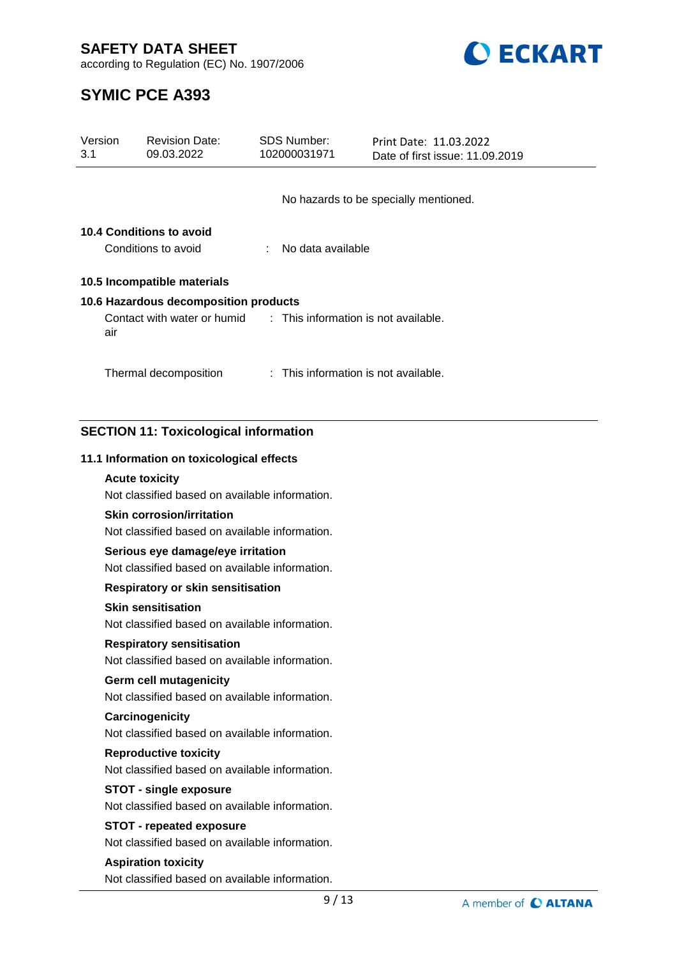

according to Regulation (EC) No. 1907/2006

# **SYMIC PCE A393**

| Version<br>3.1 |     | <b>Revision Date:</b><br>09.03.2022                                                | <b>SDS Number:</b><br>102000031971 | Print Date: 11.03.2022<br>Date of first issue: 11.09.2019 |                      |
|----------------|-----|------------------------------------------------------------------------------------|------------------------------------|-----------------------------------------------------------|----------------------|
|                |     |                                                                                    |                                    |                                                           |                      |
|                |     |                                                                                    |                                    | No hazards to be specially mentioned.                     |                      |
|                |     | <b>10.4 Conditions to avoid</b>                                                    |                                    |                                                           |                      |
|                |     | Conditions to avoid                                                                | No data available                  |                                                           |                      |
|                |     | 10.5 Incompatible materials                                                        |                                    |                                                           |                      |
|                |     | 10.6 Hazardous decomposition products                                              |                                    |                                                           |                      |
|                | air | Contact with water or humid                                                        |                                    | : This information is not available.                      |                      |
|                |     | Thermal decomposition                                                              |                                    | : This information is not available.                      |                      |
|                |     |                                                                                    |                                    |                                                           |                      |
|                |     | <b>SECTION 11: Toxicological information</b>                                       |                                    |                                                           |                      |
|                |     | 11.1 Information on toxicological effects                                          |                                    |                                                           |                      |
|                |     | <b>Acute toxicity</b>                                                              |                                    |                                                           |                      |
|                |     | Not classified based on available information.                                     |                                    |                                                           |                      |
|                |     | <b>Skin corrosion/irritation</b><br>Not classified based on available information. |                                    |                                                           |                      |
|                |     | Serious eye damage/eye irritation                                                  |                                    |                                                           |                      |
|                |     | Not classified based on available information.                                     |                                    |                                                           |                      |
|                |     | Respiratory or skin sensitisation                                                  |                                    |                                                           |                      |
|                |     | <b>Skin sensitisation</b><br>Not classified based on available information.        |                                    |                                                           |                      |
|                |     | <b>Respiratory sensitisation</b>                                                   |                                    |                                                           |                      |
|                |     | Not classified based on available information.                                     |                                    |                                                           |                      |
|                |     | <b>Germ cell mutagenicity</b><br>Not classified based on available information.    |                                    |                                                           |                      |
|                |     | Carcinogenicity                                                                    |                                    |                                                           |                      |
|                |     | Not classified based on available information.                                     |                                    |                                                           |                      |
|                |     | <b>Reproductive toxicity</b><br>Not classified based on available information.     |                                    |                                                           |                      |
|                |     | <b>STOT - single exposure</b>                                                      |                                    |                                                           |                      |
|                |     | Not classified based on available information.                                     |                                    |                                                           |                      |
|                |     | <b>STOT - repeated exposure</b>                                                    |                                    |                                                           |                      |
|                |     | Not classified based on available information.                                     |                                    |                                                           |                      |
|                |     | <b>Aspiration toxicity</b>                                                         |                                    |                                                           |                      |
|                |     | Not classified based on available information.                                     |                                    |                                                           |                      |
|                |     |                                                                                    | 9/13                               |                                                           | A member of C ALTANA |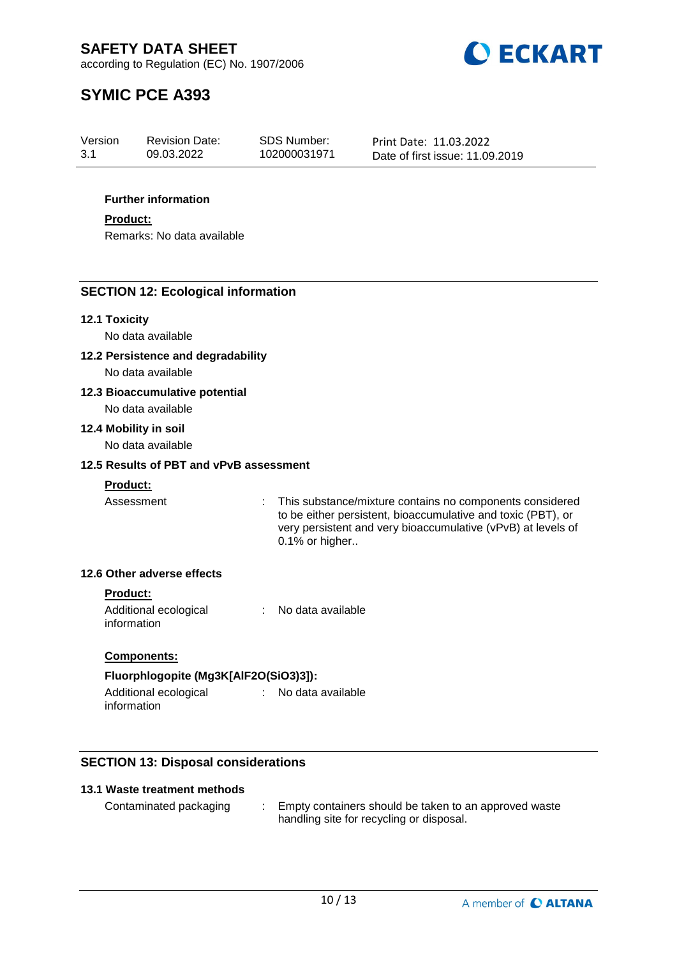

# **SYMIC PCE A393**

| Version | <b>Revision Date:</b> | SDS Number:  | Print Date: 11.03.2022          |
|---------|-----------------------|--------------|---------------------------------|
| 3.1     | 09.03.2022            | 102000031971 | Date of first issue: 11.09.2019 |

### **Further information**

**Product:**

Remarks: No data available

# **SECTION 12: Ecological information**

#### **12.1 Toxicity**

No data available

**12.2 Persistence and degradability**

No data available

# **12.3 Bioaccumulative potential**

No data available

# **12.4 Mobility in soil**

No data available

### **12.5 Results of PBT and vPvB assessment**

# **Product:**

Assessment : This substance/mixture contains no components considered to be either persistent, bioaccumulative and toxic (PBT), or very persistent and very bioaccumulative (vPvB) at levels of 0.1% or higher..

# **12.6 Other adverse effects**

#### **Product:**

Additional ecological information : No data available

# **Components:**

# **Fluorphlogopite (Mg3K[AlF2O(SiO3)3]):**

Additional ecological information : No data available

# **SECTION 13: Disposal considerations**

### **13.1 Waste treatment methods**

Contaminated packaging : Empty containers should be taken to an approved waste handling site for recycling or disposal.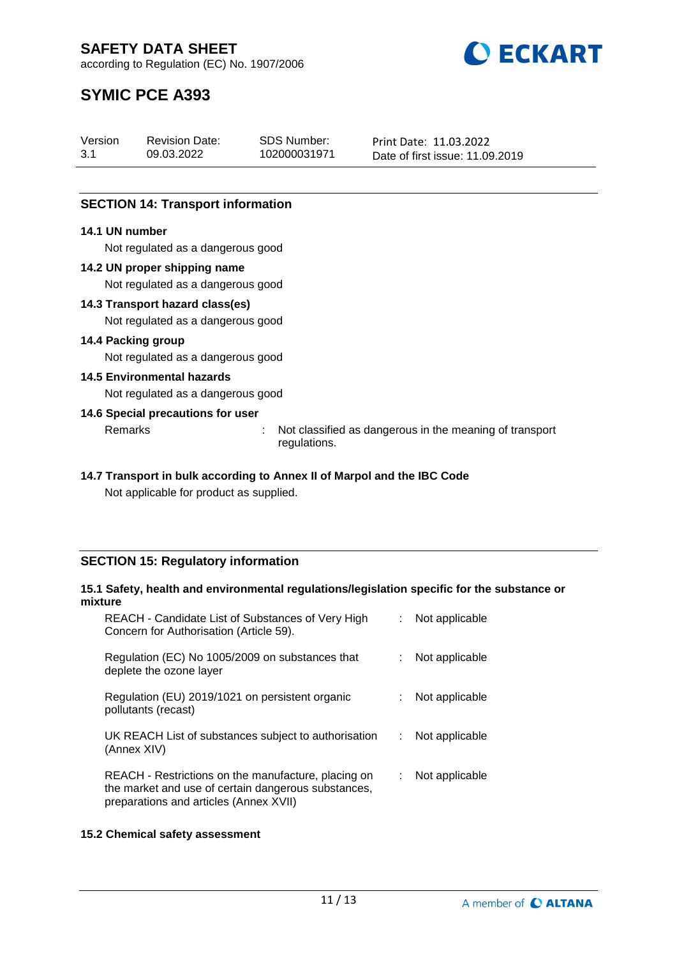

# **SYMIC PCE A393**

| Version | <b>Revision Date:</b> | SDS Number:  | Print Date: 11.03.2022          |
|---------|-----------------------|--------------|---------------------------------|
| 3.1     | 09.03.2022            | 102000031971 | Date of first issue: 11.09.2019 |

# **SECTION 14: Transport information**

# **14.1 UN number**

Not regulated as a dangerous good

# **14.2 UN proper shipping name**

Not regulated as a dangerous good

#### **14.3 Transport hazard class(es)**

Not regulated as a dangerous good

#### **14.4 Packing group**

Not regulated as a dangerous good

#### **14.5 Environmental hazards**

Not regulated as a dangerous good

# **14.6 Special precautions for user**

Remarks : Not classified as dangerous in the meaning of transport regulations.

# **14.7 Transport in bulk according to Annex II of Marpol and the IBC Code**

Not applicable for product as supplied.

# **SECTION 15: Regulatory information**

#### **15.1 Safety, health and environmental regulations/legislation specific for the substance or mixture**

| REACH - Candidate List of Substances of Very High<br>Concern for Authorisation (Article 59).                                                         |   | Not applicable |
|------------------------------------------------------------------------------------------------------------------------------------------------------|---|----------------|
| Regulation (EC) No 1005/2009 on substances that<br>deplete the ozone layer                                                                           |   | Not applicable |
| Regulation (EU) 2019/1021 on persistent organic<br>pollutants (recast)                                                                               |   | Not applicable |
| UK REACH List of substances subject to authorisation<br>(Annex XIV)                                                                                  | ÷ | Not applicable |
| REACH - Restrictions on the manufacture, placing on<br>the market and use of certain dangerous substances,<br>preparations and articles (Annex XVII) |   | Not applicable |

# **15.2 Chemical safety assessment**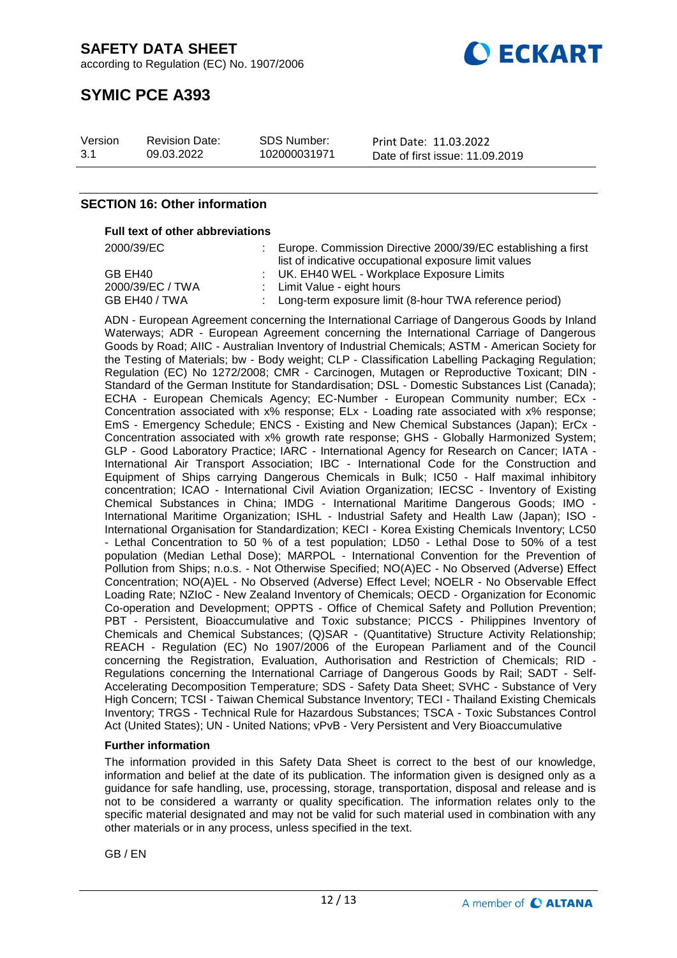

# **SYMIC PCE A393**

| Version | <b>Revision Date:</b> | <b>SDS Number:</b> | Print Date: 11.03.2022          |
|---------|-----------------------|--------------------|---------------------------------|
| 3.1     | 09.03.2022            | 102000031971       | Date of first issue: 11.09.2019 |

# **SECTION 16: Other information**

#### **Full text of other abbreviations**

| 2000/39/EC       | Europe. Commission Directive 2000/39/EC establishing a first |
|------------------|--------------------------------------------------------------|
|                  | list of indicative occupational exposure limit values        |
| GB EH40          | : UK. EH40 WEL - Workplace Exposure Limits                   |
| 2000/39/EC / TWA | : Limit Value - eight hours                                  |
| GB EH40 / TWA    | : Long-term exposure limit (8-hour TWA reference period)     |

ADN - European Agreement concerning the International Carriage of Dangerous Goods by Inland Waterways; ADR - European Agreement concerning the International Carriage of Dangerous Goods by Road; AIIC - Australian Inventory of Industrial Chemicals; ASTM - American Society for the Testing of Materials; bw - Body weight; CLP - Classification Labelling Packaging Regulation; Regulation (EC) No 1272/2008; CMR - Carcinogen, Mutagen or Reproductive Toxicant; DIN - Standard of the German Institute for Standardisation; DSL - Domestic Substances List (Canada); ECHA - European Chemicals Agency; EC-Number - European Community number; ECx - Concentration associated with x% response; ELx - Loading rate associated with x% response; EmS - Emergency Schedule; ENCS - Existing and New Chemical Substances (Japan); ErCx - Concentration associated with x% growth rate response; GHS - Globally Harmonized System; GLP - Good Laboratory Practice; IARC - International Agency for Research on Cancer; IATA - International Air Transport Association; IBC - International Code for the Construction and Equipment of Ships carrying Dangerous Chemicals in Bulk; IC50 - Half maximal inhibitory concentration; ICAO - International Civil Aviation Organization; IECSC - Inventory of Existing Chemical Substances in China; IMDG - International Maritime Dangerous Goods; IMO - International Maritime Organization; ISHL - Industrial Safety and Health Law (Japan); ISO - International Organisation for Standardization; KECI - Korea Existing Chemicals Inventory; LC50 - Lethal Concentration to 50 % of a test population; LD50 - Lethal Dose to 50% of a test population (Median Lethal Dose); MARPOL - International Convention for the Prevention of Pollution from Ships; n.o.s. - Not Otherwise Specified; NO(A)EC - No Observed (Adverse) Effect Concentration; NO(A)EL - No Observed (Adverse) Effect Level; NOELR - No Observable Effect Loading Rate; NZIoC - New Zealand Inventory of Chemicals; OECD - Organization for Economic Co-operation and Development; OPPTS - Office of Chemical Safety and Pollution Prevention; PBT - Persistent, Bioaccumulative and Toxic substance; PICCS - Philippines Inventory of Chemicals and Chemical Substances; (Q)SAR - (Quantitative) Structure Activity Relationship; REACH - Regulation (EC) No 1907/2006 of the European Parliament and of the Council concerning the Registration, Evaluation, Authorisation and Restriction of Chemicals; RID - Regulations concerning the International Carriage of Dangerous Goods by Rail; SADT - Self-Accelerating Decomposition Temperature; SDS - Safety Data Sheet; SVHC - Substance of Very High Concern; TCSI - Taiwan Chemical Substance Inventory; TECI - Thailand Existing Chemicals Inventory; TRGS - Technical Rule for Hazardous Substances; TSCA - Toxic Substances Control Act (United States); UN - United Nations; vPvB - Very Persistent and Very Bioaccumulative

#### **Further information**

The information provided in this Safety Data Sheet is correct to the best of our knowledge, information and belief at the date of its publication. The information given is designed only as a guidance for safe handling, use, processing, storage, transportation, disposal and release and is not to be considered a warranty or quality specification. The information relates only to the specific material designated and may not be valid for such material used in combination with any other materials or in any process, unless specified in the text.

GB / EN